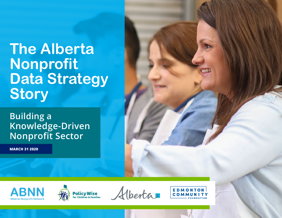# **The Alberta Nonprofit Data Strategy Story**

# **Building a Knowledge-Driven Nonprofit Sector**

**MARCH 31 2020**







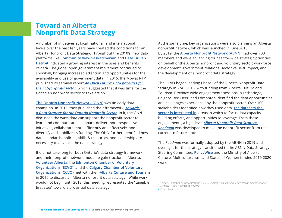#### **Toward an Alberta Nonprofit Data Strategy**

A number of initiatives at local, national, and international levels over the past ten years have created the conditions for an Alberta Nonprofit Data Strategy. Throughout the 2010's, new data platforms like **[Community View Saskatchewan](http://www.communityview.ca/)** and **[Data Driven](https://datadrivendetroit.org/)  [Detroit](https://datadrivendetroit.org/)** indicated a growing interest in the uses and benefits of data. The global open government movement continued to snowball, bringing increased attention and opportunities for the availability and use of government data. In 2015, the Mowat NFP published its seminal report *[An Open Future: Data priorities for](https://munkschool.utoronto.ca/mowatcentre/wp-content/uploads/publications/107_an_open_future.pdf)  [the not-for-profit sector](https://munkschool.utoronto.ca/mowatcentre/wp-content/uploads/publications/107_an_open_future.pdf)*, which suggested that it was time for the Canadian nonprofit sector to take action.

**[The Ontario Nonprofit Network \(ONN\)](https://theonn.ca/)** was an early data champion. In 2015, they published their framework, *[Towards](https://theonn.ca/wp-content/uploads/2015/07/Towards-a-Data-Strategy-for-Ontario-Nonprofit-Sector_ONN_Final_2015-07-13.pdf)  [a Data Strategy for the Ontario Nonprofit Sector](https://theonn.ca/wp-content/uploads/2015/07/Towards-a-Data-Strategy-for-Ontario-Nonprofit-Sector_ONN_Final_2015-07-13.pdf)*. In it, the ONN discussed the ways data can support the nonprofit sector to learn and communicate its impact, deliver more responsive initiatives, collaborate more efficiently and effectively, and diversify and stabilize its funding. The ONN further identified how data standards, policies, skills & resources, and leadership are necessary to advance the data strategy.

It did not take long for both Ontario's data strategy framework and their nonprofit network model to gain traction in Alberta. **[Volunteer Alberta](https://volunteeralberta.ab.ca/)**, the **[Edmonton Chamber of Voluntary](https://ecvo.ca/)  [Organizations \(ECVO\)](https://ecvo.ca/)**, and the **[Calgary Chamber of Voluntary](https://www.calgarycvo.org/)  [Organizations \(CCVO\)](https://www.calgarycvo.org/)** met with then-**[Alberta Culture and Tourism](https://www.alberta.ca/culture-multiculturalism-and-status-of-women.aspx)** in 2016 to discuss an Alberta nonprofit data strategy**<sup>1</sup>** . While work would not begin until 2018, this meeting represented the "tangible first step" toward a provincial data strategy**<sup>2</sup>** .

At the same time, key organizations were also planning an Alberta nonprofit network, which was launched in June 2018. By 2019, the **[Alberta Nonprofit Network \(ABNN\)](https://albertanonprofits.ca/)** had over 700 members and were advancing four sector-wide strategic priorities on behalf of the Alberta nonprofit and voluntary sector: workforce development, government relations, sector value & impact, and the development of a nonprofit data strategy.

The CCVO began leading Phase I of the Alberta Nonprofit Data Strategy in April 2018, with funding from Alberta Culture and Tourism. Province-wide engagements sessions in Lethbridge, Calgary, Red Deer, and Edmonton identified the data opportunities and challenges experienced by the nonprofit sector. Over 100 stakeholders identified how they used data, **[the datasets the](https://static1.squarespace.com/static/5aef5b46cef3728571e6c46c/t/5ca39f266becf1000149d09f/1554226983895/Alberta+Nonprofit+Data+Strategy%5B1%5D.pdf)  [sector is interested in](https://static1.squarespace.com/static/5aef5b46cef3728571e6c46c/t/5ca39f266becf1000149d09f/1554226983895/Alberta+Nonprofit+Data+Strategy%5B1%5D.pdf)**, areas in which to focus data capacitybuilding efforts, and opportunities to leverage. From these engagements, a high-level *[Alberta Nonprofit Data Strategy](https://static1.squarespace.com/static/5aef5b46cef3728571e6c46c/t/5c745650eb393140a620215e/1551128147129/ANDS+Roadmap+-+February+2019.pdf)  [Roadmap](https://static1.squarespace.com/static/5aef5b46cef3728571e6c46c/t/5c745650eb393140a620215e/1551128147129/ANDS+Roadmap+-+February+2019.pdf)* was developed to move the nonprofit sector from the current to future state.

The *Roadmap* was formally adopted by the ABNN in 2019 and oversight for the strategy transitioned to the ABNN Data Strategy Steering Committee. **[PolicyWise](https://policywise.com/)** and the Ministry of Alberta Culture, Multiculturalism, and Status of Women funded 2019-2020 work.

**<sup>1</sup>** Calgary Chamber or Organizations (CCV0), *Building a Foundation for an Alberta Nonprofit Data Strategy – Project Whitepaper (2018)*

**<sup>2</sup>** CCVO 2018, p.1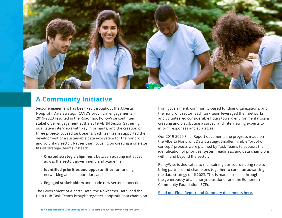

## **A Community Initiative**

Sector engagement has been key throughout the Alberta Nonprofit Data Strategy. CCVO's provincial engagements in 2019-2020 resulted in the Roadmap. PolicyWise continued stakeholder engagement at the 2019 ABNN Sector Gathering, qualitative interviews with key informants, and the creation of three project-focused task teams. Each task team supported the development of a sustainable data ecosystem for the nonprofit and voluntary sector. Rather than focusing on creating a one-size fits all strategy, teams instead:

- **› Created strategic alignment** between existing initiatives across the sector, government, and academia;
- **› Identified priorities and opportunities** for funding, networking and collaboration; and
- **› Engaged stakeholders** and made new sector connections.

The Government of Alberta Data, the Newcomer Data, and the Data Hub Task Teams brought together nonprofit data champion

from government, community-based funding organizations, and the nonprofit sector. Each task team leveraged their networks and volunteered considerable hours toward environmental scans, creating and distributing a survey, and interviewing experts to inform responses and strategies.

Our 2019-2020 Final Report documents the progress made on the Alberta Nonprofit Data Strategy. Smaller, nimble "proof of concept" projects were planned by Task Teams to support the identification of priorities, system readiness, and data champions within and beyond the sector.

PolicyWise is dedicated to maintaining our coordinating role to bring partners and champions together to continue advancing the data strategy until 2023. This is made possible through the generousity of an anonymous donor and the Edmonton Community Foundation (ECF).

**[Read our Final Report and Summary documents here.](https://policywise.com/data-strategy)**